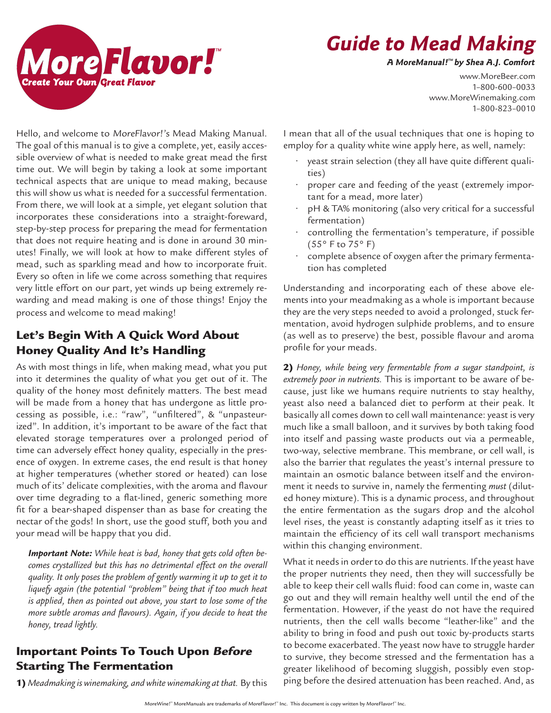

# **Guide to Mead Making**

**A MoreManual! ™ by Shea A.J. Comfort**

www.MoreBeer.com 1–800-600–0033 www.MoreWinemaking.com 1–800-823–0010

Hello, and welcome to MoreFlavor!'s Mead Making Manual. The goal of this manual is to give a complete, yet, easily accessible overview of what is needed to make great mead the first time out. We will begin by taking a look at some important technical aspects that are unique to mead making, because this will show us what is needed for a successful fermentation. From there, we will look at a simple, yet elegant solution that incorporates these considerations into a straight-foreward, step-by-step process for preparing the mead for fermentation that does not require heating and is done in around 30 minutes! Finally, we will look at how to make different styles of mead, such as sparkling mead and how to incorporate fruit. Every so often in life we come across something that requires very little effort on our part, yet winds up being extremely rewarding and mead making is one of those things! Enjoy the process and welcome to mead making!

# Let's Begin With A Quick Word About Honey Quality And It's Handling

As with most things in life, when making mead, what you put into it determines the quality of what you get out of it. The quality of the honey most definitely matters. The best mead will be made from a honey that has undergone as little processing as possible, i.e.: "raw", "unfiltered", & "unpasteurized". In addition, it's important to be aware of the fact that elevated storage temperatures over a prolonged period of time can adversely effect honey quality, especially in the presence of oxygen. In extreme cases, the end result is that honey at higher temperatures (whether stored or heated) can lose much of its' delicate complexities, with the aroma and flavour over time degrading to a flat-lined, generic something more fit for a bear-shaped dispenser than as base for creating the nectar of the gods! In short, use the good stuff, both you and your mead will be happy that you did.

*Important Note: While heat is bad, honey that gets cold often becomes crystallized but this has no detrimental effect on the overall quality. It only poses the problem of gently warming it up to get it to liquefy again (the potential "problem" being that if too much heat is applied, then as pointed out above, you start to lose some of the more subtle aromas and flavours). Again, if you decide to heat the honey, tread lightly.*

# Important Points To Touch Upon Before Starting The Fermentation

1) *Meadmaking is winemaking, and white winemaking at that.* By this

I mean that all of the usual techniques that one is hoping to employ for a quality white wine apply here, as well, namely:

- yeast strain selection (they all have quite different qualities)
- proper care and feeding of the yeast (extremely important for a mead, more later)
- pH & TA% monitoring (also very critical for a successful fermentation)
- controlling the fermentation's temperature, if possible (55° F to 75° F)
- complete absence of oxygen after the primary fermentation has completed

Understanding and incorporating each of these above elements into your meadmaking as a whole is important because they are the very steps needed to avoid a prolonged, stuck fermentation, avoid hydrogen sulphide problems, and to ensure (as well as to preserve) the best, possible flavour and aroma profile for your meads.

2) *Honey, while being very fermentable from a sugar standpoint, is extremely poor in nutrients.* This is important to be aware of because, just like we humans require nutrients to stay healthy, yeast also need a balanced diet to perform at their peak. It basically all comes down to cell wall maintenance: yeast is very much like a small balloon, and it survives by both taking food into itself and passing waste products out via a permeable, two-way, selective membrane. This membrane, or cell wall, is also the barrier that regulates the yeast's internal pressure to maintain an osmotic balance between itself and the environment it needs to survive in, namely the fermenting *must* (diluted honey mixture). This is a dynamic process, and throughout the entire fermentation as the sugars drop and the alcohol level rises, the yeast is constantly adapting itself as it tries to maintain the efficiency of its cell wall transport mechanisms within this changing environment.

What it needs in order to do this are nutrients. If the yeast have the proper nutrients they need, then they will successfully be able to keep their cell walls fluid: food can come in, waste can go out and they will remain healthy well until the end of the fermentation. However, if the yeast do not have the required nutrients, then the cell walls become "leather-like" and the ability to bring in food and push out toxic by-products starts to become exacerbated. The yeast now have to struggle harder to survive, they become stressed and the fermentation has a greater likelihood of becoming sluggish, possibly even stopping before the desired attenuation has been reached. And, as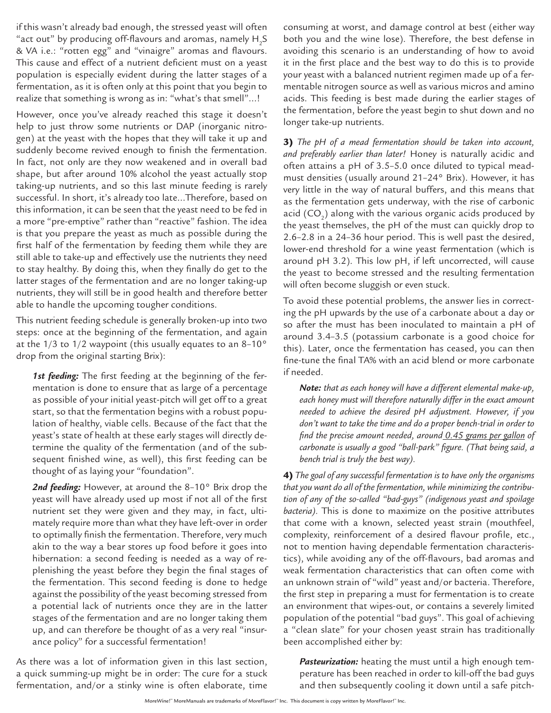if this wasn't already bad enough, the stressed yeast will often "act out" by producing off-flavours and aromas, namely  ${\sf H_2S}$ & VA i.e.: "rotten egg" and "vinaigre" aromas and flavours. This cause and effect of a nutrient deficient must on a yeast population is especially evident during the latter stages of a fermentation, as it is often only at this point that you begin to realize that something is wrong as in: "what's that smell"…!

However, once you've already reached this stage it doesn't help to just throw some nutrients or DAP (inorganic nitrogen) at the yeast with the hopes that they will take it up and suddenly become revived enough to finish the fermentation. In fact, not only are they now weakened and in overall bad shape, but after around 10% alcohol the yeast actually stop taking-up nutrients, and so this last minute feeding is rarely successful. In short, it's already too late…Therefore, based on this information, it can be seen that the yeast need to be fed in a more "pre-emptive" rather than "reactive" fashion. The idea is that you prepare the yeast as much as possible during the first half of the fermentation by feeding them while they are still able to take-up and effectively use the nutrients they need to stay healthy. By doing this, when they finally do get to the latter stages of the fermentation and are no longer taking-up nutrients, they will still be in good health and therefore better able to handle the upcoming tougher conditions.

This nutrient feeding schedule is generally broken-up into two steps: once at the beginning of the fermentation, and again at the  $1/3$  to  $1/2$  waypoint (this usually equates to an  $8-10^{\circ}$ drop from the original starting Brix):

*1st feeding:* The first feeding at the beginning of the fermentation is done to ensure that as large of a percentage as possible of your initial yeast-pitch will get off to a great start, so that the fermentation begins with a robust population of healthy, viable cells. Because of the fact that the yeast's state of health at these early stages will directly determine the quality of the fermentation (and of the subsequent finished wine, as well), this first feeding can be thought of as laying your "foundation".

*2nd feeding:* However, at around the 8–10° Brix drop the yeast will have already used up most if not all of the first nutrient set they were given and they may, in fact, ultimately require more than what they have left-over in order to optimally finish the fermentation. Therefore, very much akin to the way a bear stores up food before it goes into hibernation: a second feeding is needed as a way of replenishing the yeast before they begin the final stages of the fermentation. This second feeding is done to hedge against the possibility of the yeast becoming stressed from a potential lack of nutrients once they are in the latter stages of the fermentation and are no longer taking them up, and can therefore be thought of as a very real "insurance policy" for a successful fermentation!

As there was a lot of information given in this last section, a quick summing-up might be in order: The cure for a stuck fermentation, and/or a stinky wine is often elaborate, time consuming at worst, and damage control at best (either way both you and the wine lose). Therefore, the best defense in avoiding this scenario is an understanding of how to avoid it in the first place and the best way to do this is to provide your yeast with a balanced nutrient regimen made up of a fermentable nitrogen source as well as various micros and amino acids. This feeding is best made during the earlier stages of the fermentation, before the yeast begin to shut down and no longer take-up nutrients.

3) *The pH of a mead fermentation should be taken into account, and preferably earlier than later!* Honey is naturally acidic and often attains a pH of 3.5–5.0 once diluted to typical meadmust densities (usually around 21–24° Brix). However, it has very little in the way of natural buffers, and this means that as the fermentation gets underway, with the rise of carbonic acid (CO $_{\textrm{\tiny{2}}})$  along with the various organic acids produced by the yeast themselves, the pH of the must can quickly drop to 2.6–2.8 in a 24–36 hour period. This is well past the desired, lower-end threshold for a wine yeast fermentation (which is around pH 3.2). This low pH, if left uncorrected, will cause the yeast to become stressed and the resulting fermentation will often become sluggish or even stuck.

To avoid these potential problems, the answer lies in correcting the pH upwards by the use of a carbonate about a day or so after the must has been inoculated to maintain a pH of around 3.4–3.5 (potassium carbonate is a good choice for this). Later, once the fermentation has ceased, you can then fine-tune the final TA% with an acid blend or more carbonate if needed.

*Note: that as each honey will have a different elemental make-up, each honey must will therefore naturally differ in the exact amount needed to achieve the desired pH adjustment. However, if you don't want to take the time and do a proper bench-trial in order to find the precise amount needed, around 0.45 grams per gallon of carbonate is usually a good "ball-park" figure. (That being said, a bench trial is truly the best way).*

4) *The goal of any successful fermentation is to have only the organisms that you want do all of the fermentation, while minimizing the contribution of any of the so-called "bad-guys" (indigenous yeast and spoilage bacteria).* This is done to maximize on the positive attributes that come with a known, selected yeast strain (mouthfeel, complexity, reinforcement of a desired flavour profile, etc., not to mention having dependable fermentation characteristics), while avoiding any of the off-flavours, bad aromas and weak fermentation characteristics that can often come with an unknown strain of "wild" yeast and/or bacteria. Therefore, the first step in preparing a must for fermentation is to create an environment that wipes-out, or contains a severely limited population of the potential "bad guys". This goal of achieving a "clean slate" for your chosen yeast strain has traditionally been accomplished either by:

*Pasteurization:* heating the must until a high enough temperature has been reached in order to kill-off the bad guys and then subsequently cooling it down until a safe pitch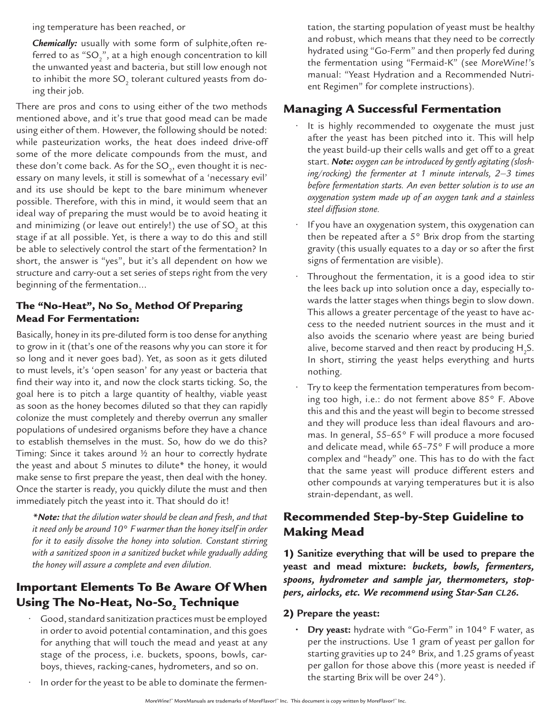ing temperature has been reached, or

*Chemically:* usually with some form of sulphite,often referred to as "SO $_2$ ", at a high enough concentration to kill the unwanted yeast and bacteria, but still low enough not to inhibit the more SO $_{\textrm{\tiny{2}}}$  tolerant cultured yeasts from doing their job.

There are pros and cons to using either of the two methods mentioned above, and it's true that good mead can be made using either of them. However, the following should be noted: while pasteurization works, the heat does indeed drive-off some of the more delicate compounds from the must, and these don't come back. As for the SO $_{_2}$ , even thought it is necessary on many levels, it still is somewhat of a 'necessary evil' and its use should be kept to the bare minimum whenever possible. Therefore, with this in mind, it would seem that an ideal way of preparing the must would be to avoid heating it and minimizing (or leave out entirely!) the use of SO $_{_2}$  at this stage if at all possible. Yet, is there a way to do this and still be able to selectively control the start of the fermentation? In short, the answer is "yes", but it's all dependent on how we structure and carry-out a set series of steps right from the very beginning of the fermentation…

#### The "No-Heat", No So<sub>2</sub> Method Of Preparing Mead For Fermentation:

Basically, honey in its pre-diluted form is too dense for anything to grow in it (that's one of the reasons why you can store it for so long and it never goes bad). Yet, as soon as it gets diluted to must levels, it's 'open season' for any yeast or bacteria that find their way into it, and now the clock starts ticking. So, the goal here is to pitch a large quantity of healthy, viable yeast as soon as the honey becomes diluted so that they can rapidly colonize the must completely and thereby overrun any smaller populations of undesired organisms before they have a chance to establish themselves in the must. So, how do we do this? Timing: Since it takes around ½ an hour to correctly hydrate the yeast and about 5 minutes to dilute\* the honey, it would make sense to first prepare the yeast, then deal with the honey. Once the starter is ready, you quickly dilute the must and then immediately pitch the yeast into it. That should do it!

*\*Note: that the dilution water should be clean and fresh, and that it need only be around 10*° *F warmer than the honey itself in order for it to easily dissolve the honey into solution. Constant stirring with a sanitized spoon in a sanitized bucket while gradually adding the honey will assure a complete and even dilution.*

# Important Elements To Be Aware Of When Using The No-Heat, No-So $_{\rm_2}$  Technique

- Good, standard sanitization practices must be employed in order to avoid potential contamination, and this goes for anything that will touch the mead and yeast at any stage of the process, i.e. buckets, spoons, bowls, carboys, thieves, racking-canes, hydrometers, and so on.
- In order for the yeast to be able to dominate the fermen-

tation, the starting population of yeast must be healthy and robust, which means that they need to be correctly hydrated using "Go-Ferm" and then properly fed during the fermentation using "Fermaid-K" (see MoreWine!'s manual: "Yeast Hydration and a Recommended Nutrient Regimen" for complete instructions).

## Managing A Successful Fermentation

- It is highly recommended to oxygenate the must just after the yeast has been pitched into it. This will help the yeast build-up their cells walls and get off to a great start. *Note: oxygen can be introduced by gently agitating (sloshing/rocking) the fermenter at 1 minute intervals, 2–3 times before fermentation starts. An even better solution is to use an oxygenation system made up of an oxygen tank and a stainless steel diffusion stone.*
- If you have an oxygenation system, this oxygenation can then be repeated after a 5° Brix drop from the starting gravity (this usually equates to a day or so after the first signs of fermentation are visible).
- Throughout the fermentation, it is a good idea to stir the lees back up into solution once a day, especially towards the latter stages when things begin to slow down. This allows a greater percentage of the yeast to have access to the needed nutrient sources in the must and it also avoids the scenario where yeast are being buried alive, become starved and then react by producing  $\mathsf{H}_\mathsf{2} \mathsf{S}.$ In short, stirring the yeast helps everything and hurts nothing.
- Try to keep the fermentation temperatures from becoming too high, i.e.: do not ferment above 85° F. Above this and this and the yeast will begin to become stressed and they will produce less than ideal flavours and aromas. In general, 55–65° F will produce a more focused and delicate mead, while 65–75° F will produce a more complex and "heady" one. This has to do with the fact that the same yeast will produce different esters and other compounds at varying temperatures but it is also strain-dependant, as well.

# Recommended Step-by-Step Guideline to Making Mead

1) **Sanitize everything that will be used to prepare the yeast and mead mixture:** *buckets, bowls, fermenters, spoons, hydrometer and sample jar, thermometers, stoppers, airlocks, etc. We recommend using Star-San CL26.*

#### 2) **Prepare the yeast:**

**• Dry yeast:** hydrate with "Go-Ferm" in 104° F water, as per the instructions. Use 1 gram of yeast per gallon for starting gravities up to 24° Brix, and 1.25 grams of yeast per gallon for those above this (more yeast is needed if the starting Brix will be over 24°).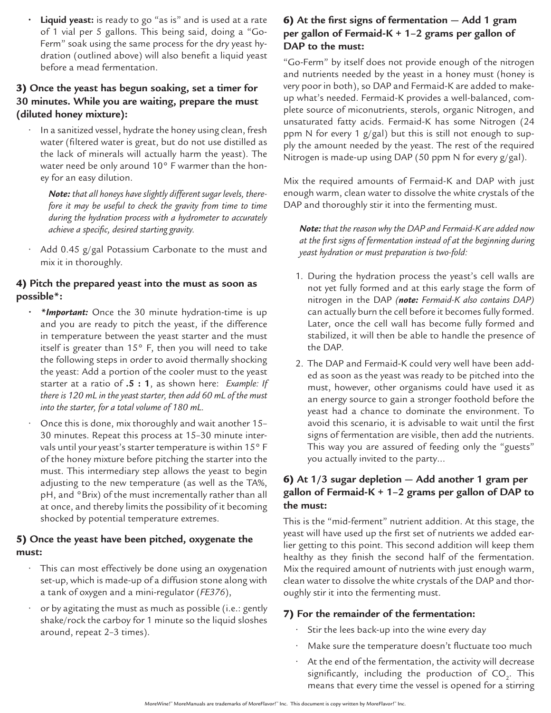**• Liquid yeast:** is ready to go "as is" and is used at a rate of 1 vial per 5 gallons. This being said, doing a "Go-Ferm" soak using the same process for the dry yeast hydration (outlined above) will also benefit a liquid yeast before a mead fermentation.

#### 3) **Once the yeast has begun soaking, set a timer for 30 minutes. While you are waiting, prepare the must (diluted honey mixture):**

• In a sanitized vessel, hydrate the honey using clean, fresh water (filtered water is great, but do not use distilled as the lack of minerals will actually harm the yeast). The water need be only around 10° F warmer than the honey for an easy dilution.

*Note: that all honeys have slightly different sugar levels, therefore it may be useful to check the gravity from time to time during the hydration process with a hydrometer to accurately achieve a specific, desired starting gravity.*

• Add 0.45 g/gal Potassium Carbonate to the must and mix it in thoroughly.

#### 4) **Pitch the prepared yeast into the must as soon as possible\*:**

- *• \*Important:* Once the 30 minute hydration-time is up and you are ready to pitch the yeast, if the difference in temperature between the yeast starter and the must itself is greater than  $15^{\circ}$  F, then you will need to take the following steps in order to avoid thermally shocking the yeast: Add a portion of the cooler must to the yeast starter at a ratio of **.5 : 1**, as shown here: *Example: If there is 120 mL in the yeast starter, then add 60 mL of the must into the starter, for a total volume of 180 mL.*
- Once this is done, mix thoroughly and wait another 15– 30 minutes. Repeat this process at 15–30 minute intervals until your yeast's starter temperature is within 15° F of the honey mixture before pitching the starter into the must. This intermediary step allows the yeast to begin adjusting to the new temperature (as well as the TA%, pH, and °Brix) of the must incrementally rather than all at once, and thereby limits the possibility of it becoming shocked by potential temperature extremes.

#### 5) **Once the yeast have been pitched, oxygenate the must:**

- This can most effectively be done using an oxygenation set-up, which is made-up of a diffusion stone along with a tank of oxygen and a mini-regulator (*FE376*),
- or by agitating the must as much as possible (i.e.: gently shake/rock the carboy for 1 minute so the liquid sloshes around, repeat 2–3 times).

#### 6) **At the first signs of fermentation — Add 1 gram per gallon of Fermaid-K + 1–2 grams per gallon of DAP to the must:**

"Go-Ferm" by itself does not provide enough of the nitrogen and nutrients needed by the yeast in a honey must (honey is very poor in both), so DAP and Fermaid-K are added to makeup what's needed. Fermaid-K provides a well-balanced, complete source of miconutrients, sterols, organic Nitrogen, and unsaturated fatty acids. Fermaid-K has some Nitrogen (24 ppm N for every 1 g/gal) but this is still not enough to supply the amount needed by the yeast. The rest of the required Nitrogen is made-up using DAP (50 ppm N for every g/gal).

Mix the required amounts of Fermaid-K and DAP with just enough warm, clean water to dissolve the white crystals of the DAP and thoroughly stir it into the fermenting must.

*Note: that the reason why the DAP and Fermaid-K are added now at the first signs of fermentation instead of at the beginning during yeast hydration or must preparation is two-fold:*

- 1. During the hydration process the yeast's cell walls are not yet fully formed and at this early stage the form of nitrogen in the DAP *(note: Fermaid-K also contains DAP)* can actually burn the cell before it becomes fully formed. Later, once the cell wall has become fully formed and stabilized, it will then be able to handle the presence of the DAP.
- 2. The DAP and Fermaid-K could very well have been added as soon as the yeast was ready to be pitched into the must, however, other organisms could have used it as an energy source to gain a stronger foothold before the yeast had a chance to dominate the environment. To avoid this scenario, it is advisable to wait until the first signs of fermentation are visible, then add the nutrients. This way you are assured of feeding only the "guests" you actually invited to the party…

#### 6) **At 1/3 sugar depletion — Add another 1 gram per gallon of Fermaid-K + 1–2 grams per gallon of DAP to the must:**

This is the "mid-ferment" nutrient addition. At this stage, the yeast will have used up the first set of nutrients we added earlier getting to this point. This second addition will keep them healthy as they finish the second half of the fermentation. Mix the required amount of nutrients with just enough warm, clean water to dissolve the white crystals of the DAP and thoroughly stir it into the fermenting must.

## 7) **For the remainder of the fermentation:**

- Stir the lees back-up into the wine every day
- Make sure the temperature doesn't fluctuate too much
- At the end of the fermentation, the activity will decrease significantly, including the production of  $\mathsf{CO}_2$ . This means that every time the vessel is opened for a stirring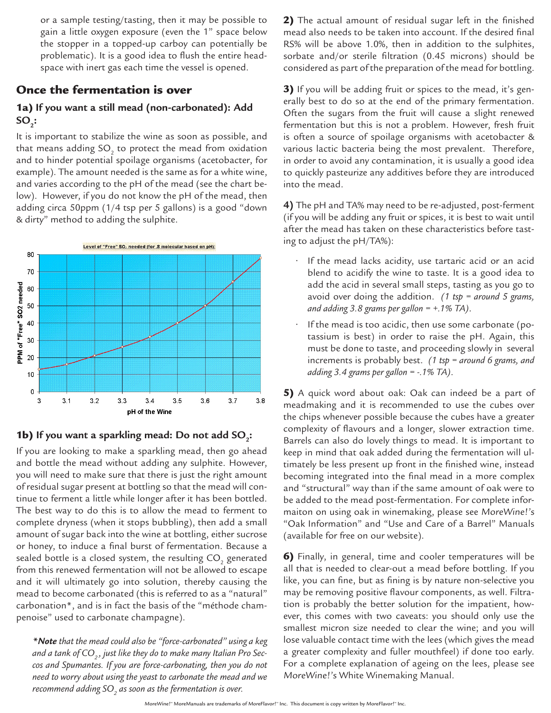or a sample testing/tasting, then it may be possible to gain a little oxygen exposure (even the 1" space below the stopper in a topped-up carboy can potentially be problematic). It is a good idea to flush the entire headspace with inert gas each time the vessel is opened.

#### Once the fermentation is over

# 1a) **If you want a still mead (non-carbonated): Add SO**<sub>2</sub>:

It is important to stabilize the wine as soon as possible, and that means adding SO $_{_2}$  to protect the mead from oxidation and to hinder potential spoilage organisms (acetobacter, for example). The amount needed is the same as for a white wine, and varies according to the pH of the mead (see the chart below). However, if you do not know the pH of the mead, then adding circa 50ppm (1/4 tsp per 5 gallons) is a good "down & dirty" method to adding the sulphite.



# **1b)** If you want a sparkling mead: Do not add SO<sub>2</sub>:

If you are looking to make a sparkling mead, then go ahead and bottle the mead without adding any sulphite. However, you will need to make sure that there is just the right amount of residual sugar present at bottling so that the mead will continue to ferment a little while longer after it has been bottled. The best way to do this is to allow the mead to ferment to complete dryness (when it stops bubbling), then add a small amount of sugar back into the wine at bottling, either sucrose or honey, to induce a final burst of fermentation. Because a sealed bottle is a closed system, the resulting CO $_{\scriptscriptstyle 2}$  generated from this renewed fermentation will not be allowed to escape and it will ultimately go into solution, thereby causing the mead to become carbonated (this is referred to as a "natural" carbonation\*, and is in fact the basis of the "méthode champenoise" used to carbonate champagne).

*\*Note that the mead could also be "force-carbonated" using a keg*  and a tank of CO<sub>2</sub>, just like they do to make many Italian Pro Sec*cos and Spumantes. If you are force-carbonating, then you do not need to worry about using the yeast to carbonate the mead and we recommend adding SO2 as soon as the fermentation is over.* 

2) The actual amount of residual sugar left in the finished mead also needs to be taken into account. If the desired final RS% will be above 1.0%, then in addition to the sulphites, sorbate and/or sterile filtration (0.45 microns) should be considered as part of the preparation of the mead for bottling.

**3)** If you will be adding fruit or spices to the mead, it's generally best to do so at the end of the primary fermentation. Often the sugars from the fruit will cause a slight renewed fermentation but this is not a problem. However, fresh fruit is often a source of spoilage organisms with acetobacter & various lactic bacteria being the most prevalent. Therefore, in order to avoid any contamination, it is usually a good idea to quickly pasteurize any additives before they are introduced into the mead.

**4)** The pH and TA% may need to be re-adjusted, post-ferment (if you will be adding any fruit or spices, it is best to wait until after the mead has taken on these characteristics before tasting to adjust the pH/TA%):

- If the mead lacks acidity, use tartaric acid or an acid blend to acidify the wine to taste. It is a good idea to add the acid in several small steps, tasting as you go to avoid over doing the addition. *(1 tsp = around 5 grams, and adding 3.8 grams per gallon = +.1% TA)*.
- If the mead is too acidic, then use some carbonate (potassium is best) in order to raise the pH. Again, this must be done to taste, and proceeding slowly in several increments is probably best. *(1 tsp = around 6 grams, and adding 3.4 grams per gallon = -.1% TA)*.

5) A quick word about oak: Oak can indeed be a part of meadmaking and it is recommended to use the cubes over the chips whenever possible because the cubes have a greater complexity of flavours and a longer, slower extraction time. Barrels can also do lovely things to mead. It is important to keep in mind that oak added during the fermentation will ultimately be less present up front in the finished wine, instead becoming integrated into the final mead in a more complex and "structural" way than if the same amount of oak were to be added to the mead post-fermentation. For complete informaiton on using oak in winemaking, please see MoreWine!'s "Oak Information" and "Use and Care of a Barrel" Manuals (available for free on our website).

6) Finally, in general, time and cooler temperatures will be all that is needed to clear-out a mead before bottling. If you like, you can fine, but as fining is by nature non-selective you may be removing positive flavour components, as well. Filtration is probably the better solution for the impatient, however, this comes with two caveats: you should only use the smallest micron size needed to clear the wine; and you will lose valuable contact time with the lees (which gives the mead a greater complexity and fuller mouthfeel) if done too early. For a complete explanation of ageing on the lees, please see MoreWine!'s White Winemaking Manual.